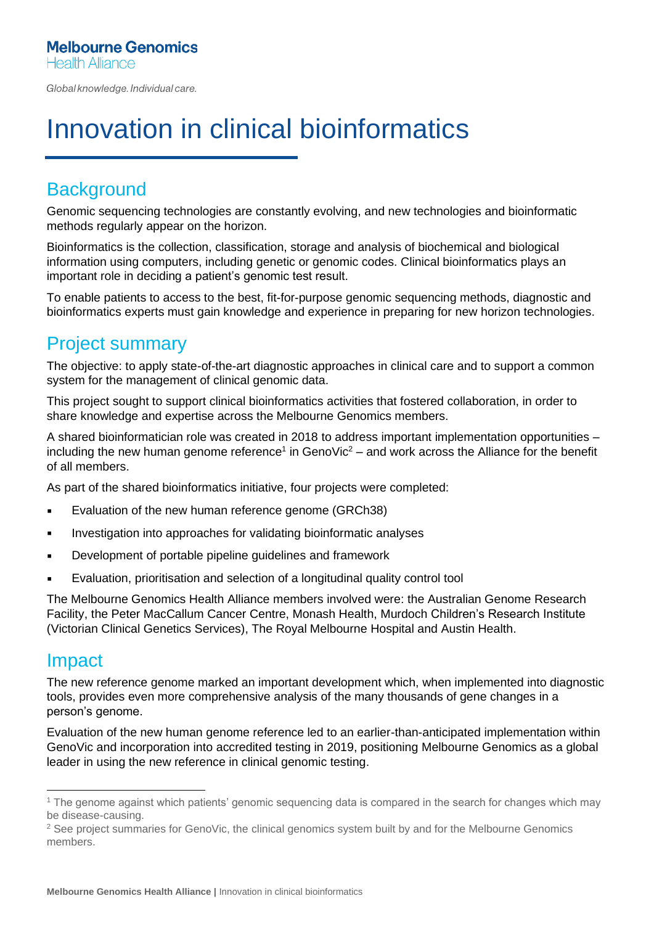Global knowledge. Individual care.

# Innovation in clinical bioinformatics

## **Background**

Genomic sequencing technologies are constantly evolving, and new technologies and bioinformatic methods regularly appear on the horizon.

Bioinformatics is the collection, classification, storage and analysis of biochemical and biological information using computers, including genetic or genomic codes. Clinical bioinformatics plays an important role in deciding a patient's genomic test result.

To enable patients to access to the best, fit-for-purpose genomic sequencing methods, diagnostic and bioinformatics experts must gain knowledge and experience in preparing for new horizon technologies.

### Project summary

The objective: to apply state-of-the-art diagnostic approaches in clinical care and to support a common system for the management of clinical genomic data.

This project sought to support clinical bioinformatics activities that fostered collaboration, in order to share knowledge and expertise across the Melbourne Genomics members.

A shared bioinformatician role was created in 2018 to address important implementation opportunities – including the new human genome reference<sup>1</sup> in GenoVic<sup>2</sup> – and work across the Alliance for the benefit of all members.

As part of the shared bioinformatics initiative, four projects were completed:

- **Evaluation of the new human reference genome (GRCh38)**
- **EXEDENT** Investigation into approaches for validating bioinformatic analyses
- **EXEC** Development of portable pipeline guidelines and framework
- **Evaluation, prioritisation and selection of a longitudinal quality control tool**

The Melbourne Genomics Health Alliance members involved were: the Australian Genome Research Facility, the Peter MacCallum Cancer Centre, Monash Health, Murdoch Children's Research Institute (Victorian Clinical Genetics Services), The Royal Melbourne Hospital and Austin Health.

#### Impact

The new reference genome marked an important development which, when implemented into diagnostic tools, provides even more comprehensive analysis of the many thousands of gene changes in a person's genome.

Evaluation of the new human genome reference led to an earlier-than-anticipated implementation within GenoVic and incorporation into accredited testing in 2019, positioning Melbourne Genomics as a global leader in using the new reference in clinical genomic testing.

<sup>1</sup> The genome against which patients' genomic sequencing data is compared in the search for changes which may be disease-causing.

<sup>&</sup>lt;sup>2</sup> See project summaries for GenoVic, the clinical genomics system built by and for the Melbourne Genomics members.